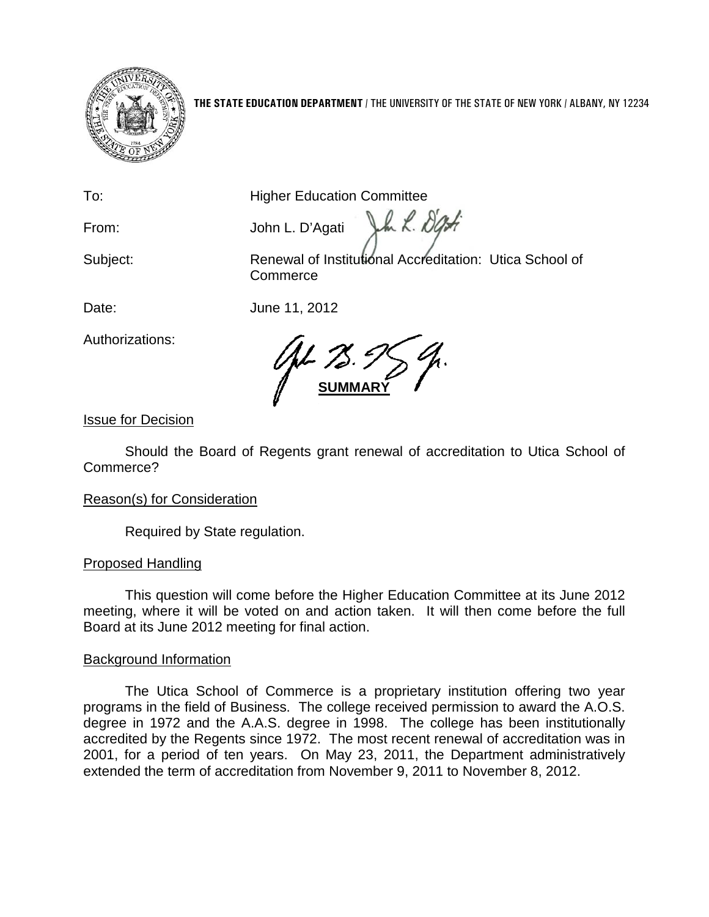

**THE STATE EDUCATION DEPARTMENT** / THE UNIVERSITY OF THE STATE OF NEW YORK / ALBANY, NY 12234

To: **Higher Education Committee** 

From: John L. D'Agati

Subject: Renewal of Institutional Accreditation: Utica School of **Commerce** 

In L. Dati

Date: June 11, 2012

**SUMMARY**

Issue for Decision

Authorizations:

Should the Board of Regents grant renewal of accreditation to Utica School of Commerce?

# Reason(s) for Consideration

Required by State regulation.

# Proposed Handling

This question will come before the Higher Education Committee at its June 2012 meeting, where it will be voted on and action taken. It will then come before the full Board at its June 2012 meeting for final action.

# Background Information

The Utica School of Commerce is a proprietary institution offering two year programs in the field of Business. The college received permission to award the A.O.S. degree in 1972 and the A.A.S. degree in 1998. The college has been institutionally accredited by the Regents since 1972. The most recent renewal of accreditation was in 2001, for a period of ten years. On May 23, 2011, the Department administratively extended the term of accreditation from November 9, 2011 to November 8, 2012.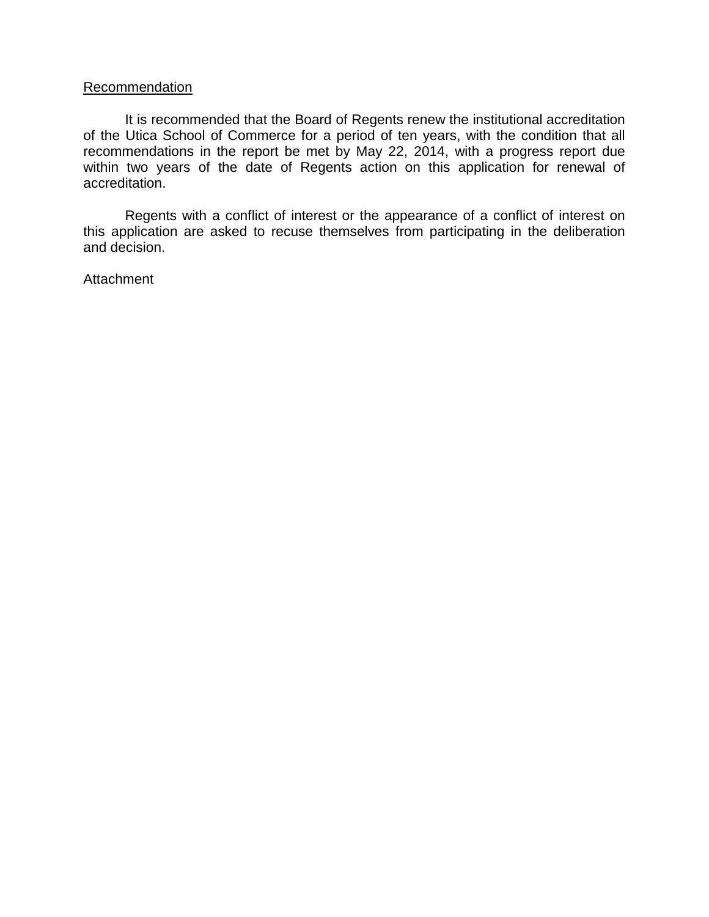#### **Recommendation**

It is recommended that the Board of Regents renew the institutional accreditation of the Utica School of Commerce for a period of ten years, with the condition that all recommendations in the report be met by May 22, 2014, with a progress report due within two years of the date of Regents action on this application for renewal of accreditation.

Regents with a conflict of interest or the appearance of a conflict of interest on this application are asked to recuse themselves from participating in the deliberation and decision.

Attachment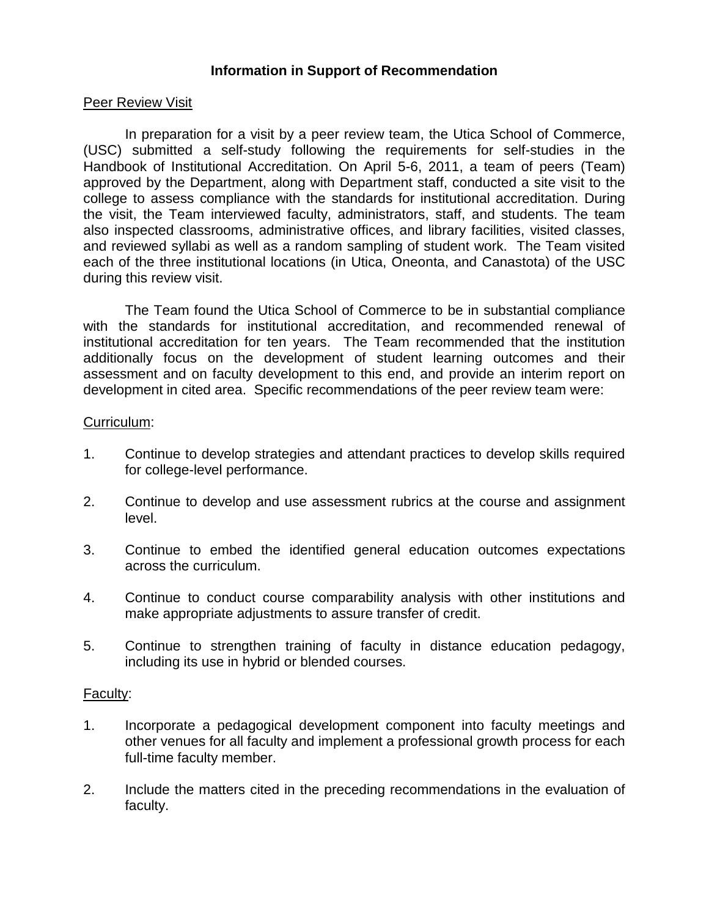## **Information in Support of Recommendation**

#### Peer Review Visit

In preparation for a visit by a peer review team, the Utica School of Commerce, (USC) submitted a self-study following the requirements for self-studies in the Handbook of Institutional Accreditation. On April 5-6, 2011, a team of peers (Team) approved by the Department, along with Department staff, conducted a site visit to the college to assess compliance with the standards for institutional accreditation. During the visit, the Team interviewed faculty, administrators, staff, and students. The team also inspected classrooms, administrative offices, and library facilities, visited classes, and reviewed syllabi as well as a random sampling of student work. The Team visited each of the three institutional locations (in Utica, Oneonta, and Canastota) of the USC during this review visit.

The Team found the Utica School of Commerce to be in substantial compliance with the standards for institutional accreditation, and recommended renewal of institutional accreditation for ten years. The Team recommended that the institution additionally focus on the development of student learning outcomes and their assessment and on faculty development to this end, and provide an interim report on development in cited area. Specific recommendations of the peer review team were:

#### Curriculum:

- 1. Continue to develop strategies and attendant practices to develop skills required for college-level performance.
- 2. Continue to develop and use assessment rubrics at the course and assignment level.
- 3. Continue to embed the identified general education outcomes expectations across the curriculum.
- 4. Continue to conduct course comparability analysis with other institutions and make appropriate adjustments to assure transfer of credit.
- 5. Continue to strengthen training of faculty in distance education pedagogy, including its use in hybrid or blended courses.

## Faculty:

- 1. Incorporate a pedagogical development component into faculty meetings and other venues for all faculty and implement a professional growth process for each full-time faculty member.
- 2. Include the matters cited in the preceding recommendations in the evaluation of faculty.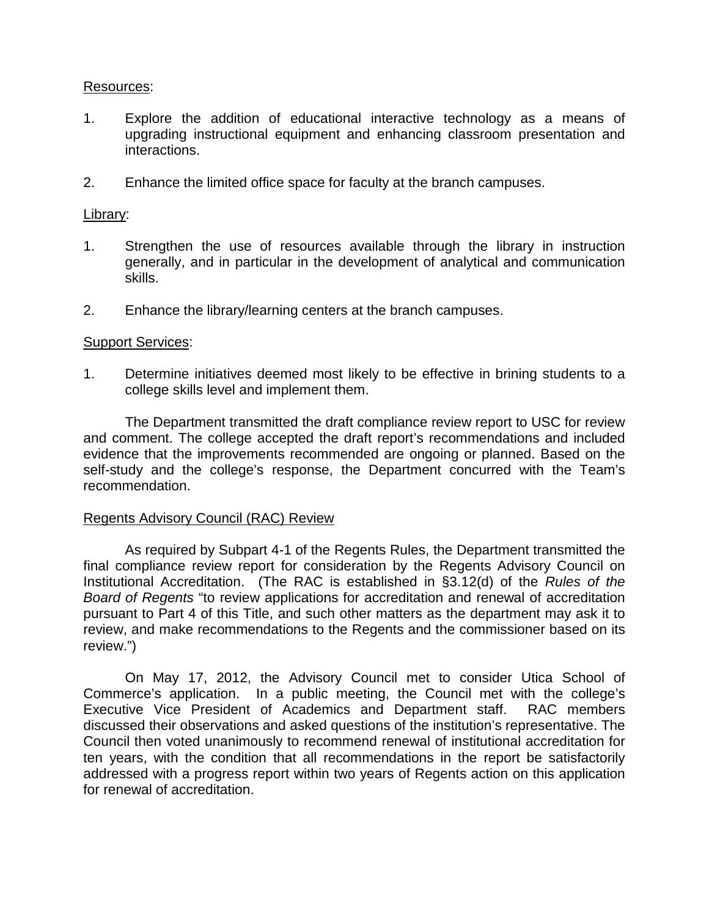#### Resources:

- 1. Explore the addition of educational interactive technology as a means of upgrading instructional equipment and enhancing classroom presentation and interactions.
- 2. Enhance the limited office space for faculty at the branch campuses.

## Library:

- 1. Strengthen the use of resources available through the library in instruction generally, and in particular in the development of analytical and communication skills.
- 2. Enhance the library/learning centers at the branch campuses.

#### **Support Services:**

1. Determine initiatives deemed most likely to be effective in brining students to a college skills level and implement them.

The Department transmitted the draft compliance review report to USC for review and comment. The college accepted the draft report's recommendations and included evidence that the improvements recommended are ongoing or planned. Based on the self-study and the college's response, the Department concurred with the Team's recommendation.

#### Regents Advisory Council (RAC) Review

As required by Subpart 4-1 of the Regents Rules, the Department transmitted the final compliance review report for consideration by the Regents Advisory Council on Institutional Accreditation. (The RAC is established in §3.12(d) of the *Rules of the Board of Regents* "to review applications for accreditation and renewal of accreditation pursuant to Part 4 of this Title, and such other matters as the department may ask it to review, and make recommendations to the Regents and the commissioner based on its review.")

On May 17, 2012, the Advisory Council met to consider Utica School of Commerce's application. In a public meeting, the Council met with the college's Executive Vice President of Academics and Department staff. RAC members discussed their observations and asked questions of the institution's representative. The Council then voted unanimously to recommend renewal of institutional accreditation for ten years, with the condition that all recommendations in the report be satisfactorily addressed with a progress report within two years of Regents action on this application for renewal of accreditation.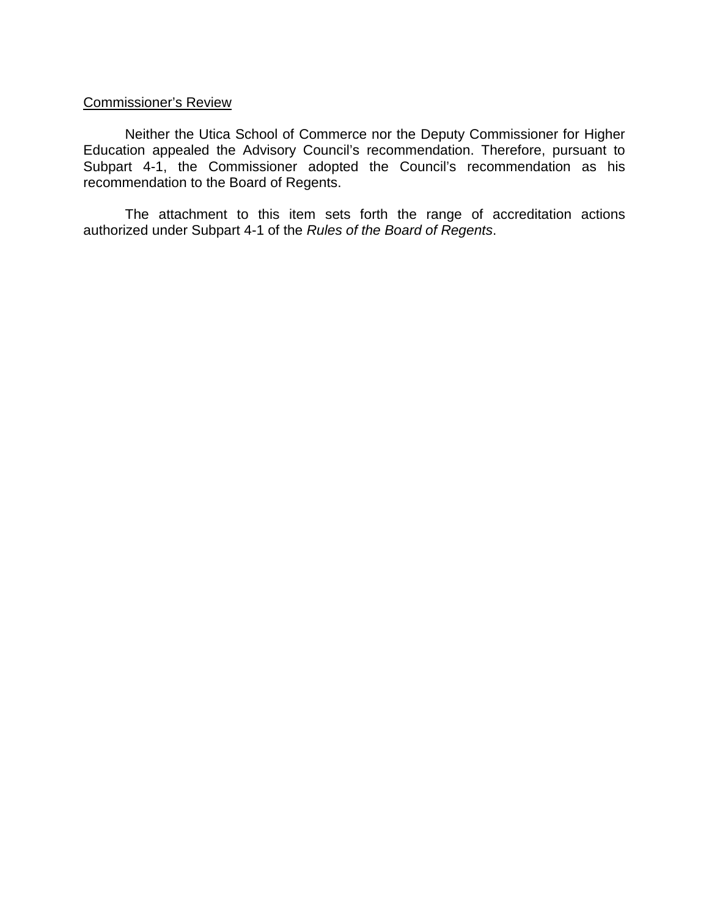# Commissioner's Review

Neither the Utica School of Commerce nor the Deputy Commissioner for Higher Education appealed the Advisory Council's recommendation. Therefore, pursuant to Subpart 4-1, the Commissioner adopted the Council's recommendation as his recommendation to the Board of Regents.

The attachment to this item sets forth the range of accreditation actions authorized under Subpart 4-1 of the *Rules of the Board of Regents*.